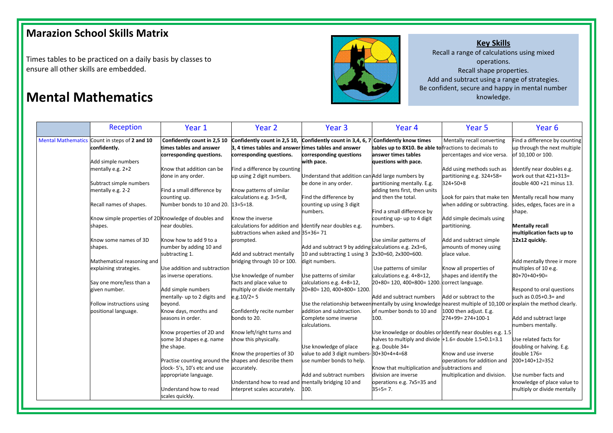## **Marazion School Skills Matrix**

Times tables to be practiced on a daily basis by classes to ensure all other skills are embedded.

## **Key Skills**

Recall a range of calculations using mixed operations. Recall shape properties. Add and subtract using a range of strategies. Be confident, secure and happy in mental number **Mental Mathematics** knowledge.

|                           | <b>Reception</b>                                      | Year 1                                                 | Year 2                                                       | Year <sub>3</sub>                                                                | Year 4                                                     | Year 5                                                    | Year 6                                                        |
|---------------------------|-------------------------------------------------------|--------------------------------------------------------|--------------------------------------------------------------|----------------------------------------------------------------------------------|------------------------------------------------------------|-----------------------------------------------------------|---------------------------------------------------------------|
| <b>Mental Mathematics</b> | Count in steps of 2 and 10<br>confidently.            | Confidently count in 2,5 10<br>times tables and answer | Confidently count in 2,5 10,<br>3, 4 times tables and answer | Confidently count in 3,4, 6, 7 Confidently know times<br>times tables and answer | tables up to 8X10. Be able to fractions to decimals to     | Mentally recall converting                                | Find a difference by counting<br>up through the next multiple |
|                           |                                                       | corresponding questions.                               | corresponding questions.                                     | corresponding questions                                                          | answer times tables                                        | percentages and vice versa.                               | of 10,100 or 100.                                             |
|                           | Add simple numbers                                    |                                                        |                                                              | with pace.                                                                       | questions with pace.                                       |                                                           |                                                               |
|                           | mentally e.g. 2+2                                     | Know that addition can be                              | Find a difference by counting                                |                                                                                  |                                                            | Add using methods such as                                 | Identify near doubles e.g.                                    |
|                           |                                                       | done in any order.                                     | up using 2 digit numbers.                                    | Understand that addition can Add large numbers by                                |                                                            | partitioning e.g. 324+58=                                 | work out that 421+313=                                        |
|                           | Subtract simple numbers                               |                                                        |                                                              | be done in any order.                                                            | partitioning mentally. E.g.                                | 324+50+8                                                  | double 400 +21 minus 13.                                      |
|                           | mentally e.g. 2-2                                     | Find a small difference by                             | Know patterns of similar                                     |                                                                                  | adding tens first, then units                              |                                                           |                                                               |
|                           |                                                       | counting up.                                           | calculations e.g. 3=5=8,                                     | Find the difference by                                                           | and then the total.                                        | Look for pairs that make ten Mentally recall how many     |                                                               |
|                           | Recall names of shapes.                               | Number bonds to 10 and 20.                             | $13 = 5 = 18$ .                                              | counting up using 3 digit                                                        |                                                            | when adding or subtracting.                               | sides, edges, faces are in a                                  |
|                           |                                                       |                                                        |                                                              | numbers.                                                                         | Find a small difference by                                 |                                                           | shape.                                                        |
|                           | Know simple properties of 2D Knowledge of doubles and |                                                        | Know the inverse                                             |                                                                                  | counting up- up to 4 digit                                 | Add simple decimals using                                 |                                                               |
|                           | shapes.                                               | near doubles.                                          | calculations for addition and Identify near doubles e.g.     |                                                                                  | numbers.                                                   | partitioning.                                             | <b>Mentally recall</b>                                        |
|                           |                                                       |                                                        | subtractions when asked and 35+36=71                         |                                                                                  |                                                            |                                                           | multiplication facts up to                                    |
|                           | Know some names of 3D                                 | Know how to add 9 to a                                 | prompted.                                                    |                                                                                  | Use similar patterns of                                    | Add and subtract simple                                   | 12x12 quickly.                                                |
|                           | shapes.                                               | number by adding 10 and                                |                                                              | Add and subtract 9 by adding calculations e.g. 2x3=6,                            |                                                            | amounts of money using                                    |                                                               |
|                           |                                                       | subtracting 1.                                         | Add and subtract mentally                                    | 10 and subtracting 1 using 3 2x30=60, 2x300=600.                                 |                                                            | place value.                                              |                                                               |
|                           | Mathematical reasoning and                            |                                                        | bridging through 10 or 100.                                  | digit numbers.                                                                   |                                                            |                                                           | Add mentally three ir more                                    |
|                           | explaining strategies.                                | Use addition and subtraction                           |                                                              |                                                                                  | Use patterns of similar                                    | Know all properties of                                    | multiples of 10 e.g.                                          |
|                           |                                                       | as inverse operations.                                 | Use knowledge of number                                      | Use patterns of similar                                                          | calculations e.g. 4+8=12,                                  | shapes and identify the                                   | $80+70+40+90=$                                                |
|                           | Say one more/less than a                              |                                                        | facts and place value to                                     | calculations e.g. 4+8=12,                                                        | 20+80= 120, 400+800= 1200. correct language.               |                                                           |                                                               |
|                           | given number.                                         | Add simple numbers                                     | multiply or divide mentally                                  | 20+80= 120, 400+800= 1200.                                                       |                                                            |                                                           | Respond to oral questions                                     |
|                           |                                                       | mentally- up to 2 digits and                           | $e.g. 10/2 = 5$                                              |                                                                                  | Add and subtract numbers                                   | Add or subtract to the                                    | such as $0.05+0.3=$ and                                       |
|                           | Follow instructions using                             | beyond.                                                |                                                              | Use the relationship between mentally by using knowledge                         |                                                            | nearest multiple of 10,100 or explain the method clearly. |                                                               |
|                           | positional language.                                  | Know days, months and                                  | Confidently recite number                                    | addition and subtraction.                                                        | of number bonds to 10 and                                  | 1000 then adjust. E.g.                                    |                                                               |
|                           |                                                       | seasons in order.                                      | bonds to 20.                                                 | Complete some inverse                                                            | 100.                                                       | 274+99= 274+100-1                                         | Add and subtract large                                        |
|                           |                                                       |                                                        |                                                              | calculations.                                                                    |                                                            |                                                           | numbers mentally.                                             |
|                           |                                                       | Know properties of 2D and                              | Know left/right turns and                                    |                                                                                  | Use knowledge or doubles or Identify near doubles e.g. 1.5 |                                                           |                                                               |
|                           |                                                       | some 3d shapes e.g. name                               | show this physically.                                        |                                                                                  | halves to multiply and divide $+1.6$ = double 1.5+0.1=3.1  |                                                           | Use related facts for                                         |
|                           |                                                       | the shape.                                             |                                                              | Use knowledge of place                                                           | e.g. Double 34=                                            |                                                           | doubling or halving. E.g.                                     |
|                           |                                                       |                                                        | Know the properties of 3D                                    | value to add 3 digit numbers-30+30+4+4=68                                        |                                                            | Know and use inverse                                      | double 176=                                                   |
|                           |                                                       | Practise counting around the shapes and describe them  |                                                              | use number bonds to help.                                                        |                                                            | operations for addition and                               | 200+140+12=352                                                |
|                           |                                                       | clock-5's, 10's etc and use                            | accurately.                                                  |                                                                                  | Know that multiplication and subtractions and              |                                                           |                                                               |
|                           |                                                       | appropriate language.                                  |                                                              | Add and subtract numbers                                                         | division are inverse                                       | multiplication and division.                              | Use number facts and                                          |
|                           |                                                       |                                                        | Understand how to read and mentally bridging 10 and          |                                                                                  | operations e.g. 7x5=35 and                                 |                                                           | knowledge of place value to                                   |
|                           |                                                       | Understand how to read                                 | interpret scales accurately.                                 | 100.                                                                             | $35 \div 5 = 7$ .                                          |                                                           | multiply or divide mentally                                   |
|                           |                                                       | scales quickly.                                        |                                                              |                                                                                  |                                                            |                                                           |                                                               |